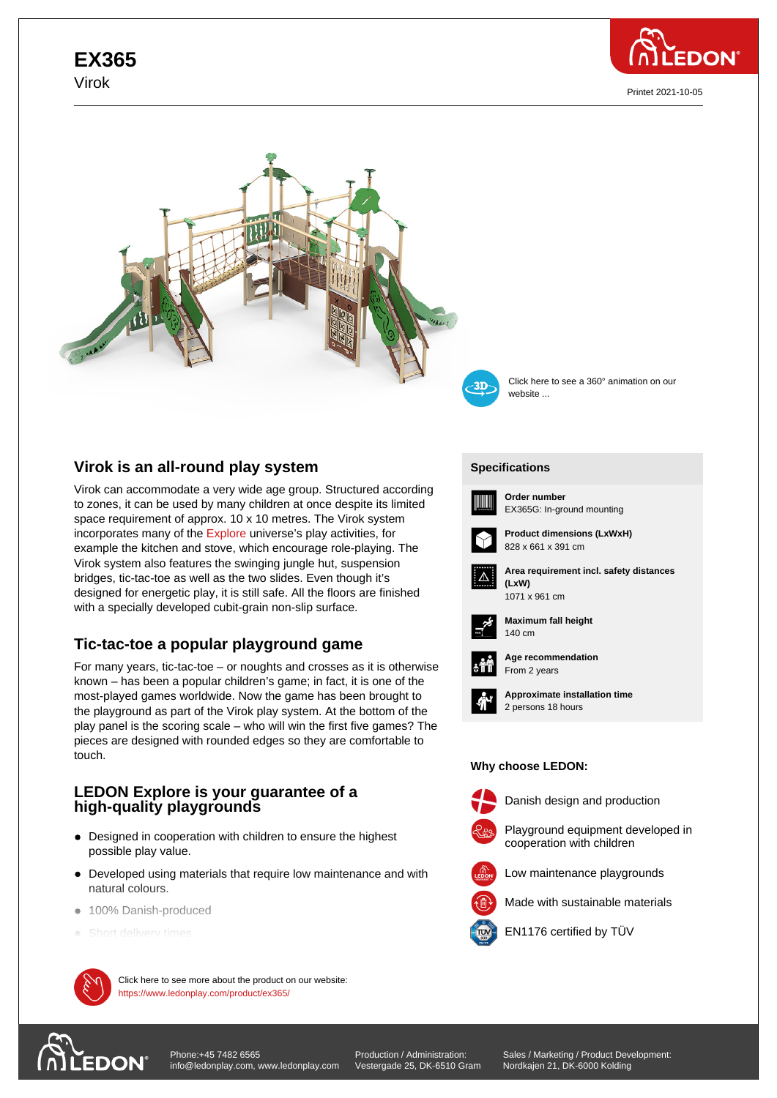## **EX365** Virok



Printet 2021-10-05





Click here to see a 360° animation on our website ...

## **Virok is an all-round play system**

Virok can accommodate a very wide age group. Structured according to zones, it can be used by many children at once despite its limited space requirement of approx. 10 x 10 metres. The Virok system incorporates many of the Explore universe's play activities, for example the kitchen and stove, which encourage role-playing. The Virok system also features the swinging jungle hut, suspension bridges, tic-tac-toe as well as the two slides. Even though it's designed for energetic pl[ay, it is s](https://www.ledonplay.com/explore/)till safe. All the floors are finished with a specially developed cubit-grain non-slip surface.

# **Tic-tac-toe a popular playground game**

For many years, tic-tac-toe – or noughts and crosses as it is otherwise known – has been a popular children's game; in fact, it is one of the most-played games worldwide. Now the game has been brought to the playground as part of the Virok play system. At the bottom of the play panel is the scoring scale – who will win the first five games? The pieces are designed with rounded edges so they are comfortable to touch.

## **LEDON Explore is your guarantee of a high-quality playgrounds**

- Designed in cooperation with children to ensure the highest possible play value.
- Developed using materials that require low maintenance and with natural colours.
- $\bullet$  100% Danish-produced
- Short delivery times



 $\mathcal{P}$  Click here to see more about the product on our website: https://www.ledonplay.com/product/ex365/

**[Specific](https://www.ledonplay.com/product/ex365/)ations [Speci](https://www.ledonplay.com/product/ex365/)fications**



**Order number** EX365G: In-ground mounting



**Product dimensions (LxWxH)** 828 x 661 x 391 cm



**Area requirement incl. safety distances (LxW) (LxW)**





**Maximum fall height** 140 cm 140 cm



**Age recommendation** From 2 years



**Approximate installation time** 2 persons 18 hours

### **Why choose LEDON: Why choose LEDON:**



Danish design and production



Playground equipment developed in cooperation with children



Made with sustainable materials



EN1176 certified by TÜV